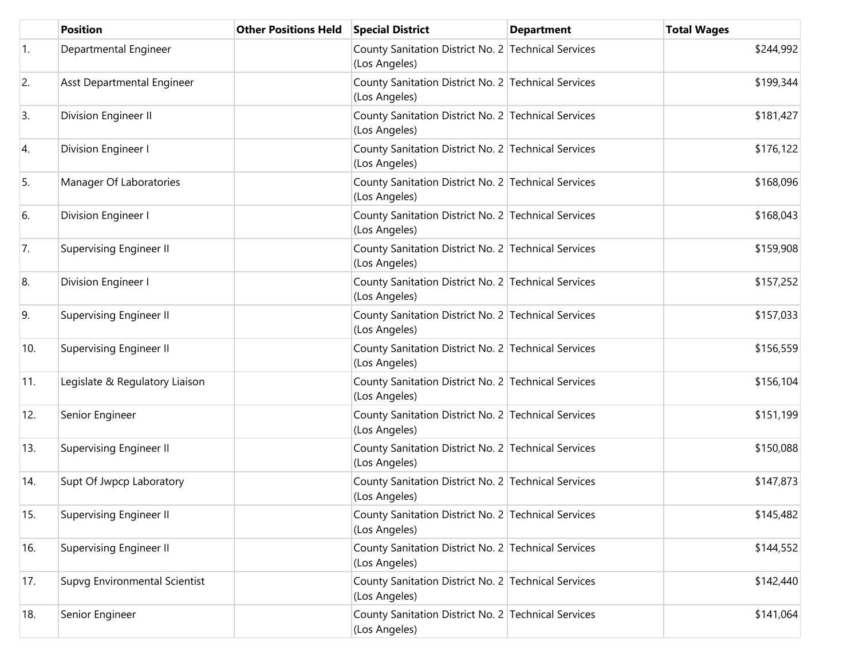|            | <b>Position</b>                | <b>Other Positions Held</b> | <b>Special District</b>                                              | <b>Department</b> | <b>Total Wages</b> |
|------------|--------------------------------|-----------------------------|----------------------------------------------------------------------|-------------------|--------------------|
| $\vert$ 1. | Departmental Engineer          |                             | County Sanitation District No. 2 Technical Services<br>(Los Angeles) |                   | \$244,992          |
| 2.         | Asst Departmental Engineer     |                             | County Sanitation District No. 2 Technical Services<br>(Los Angeles) |                   | \$199,344          |
| 3.         | Division Engineer II           |                             | County Sanitation District No. 2 Technical Services<br>(Los Angeles) |                   | \$181,427          |
| 4.         | Division Engineer I            |                             | County Sanitation District No. 2 Technical Services<br>(Los Angeles) |                   | \$176,122          |
| 5.         | Manager Of Laboratories        |                             | County Sanitation District No. 2 Technical Services<br>(Los Angeles) |                   | \$168,096          |
| 6.         | Division Engineer I            |                             | County Sanitation District No. 2 Technical Services<br>(Los Angeles) |                   | \$168,043          |
| 7.         | <b>Supervising Engineer II</b> |                             | County Sanitation District No. 2 Technical Services<br>(Los Angeles) |                   | \$159,908          |
| 8.         | Division Engineer I            |                             | County Sanitation District No. 2 Technical Services<br>(Los Angeles) |                   | \$157,252          |
| 9.         | Supervising Engineer II        |                             | County Sanitation District No. 2 Technical Services<br>(Los Angeles) |                   | \$157,033          |
| 10.        | <b>Supervising Engineer II</b> |                             | County Sanitation District No. 2 Technical Services<br>(Los Angeles) |                   | \$156,559          |
| 11.        | Legislate & Regulatory Liaison |                             | County Sanitation District No. 2 Technical Services<br>(Los Angeles) |                   | \$156,104          |
| 12.        | Senior Engineer                |                             | County Sanitation District No. 2 Technical Services<br>(Los Angeles) |                   | \$151,199          |
| 13.        | <b>Supervising Engineer II</b> |                             | County Sanitation District No. 2 Technical Services<br>(Los Angeles) |                   | \$150,088          |
| 14.        | Supt Of Jwpcp Laboratory       |                             | County Sanitation District No. 2 Technical Services<br>(Los Angeles) |                   | \$147,873          |
| 15.        | Supervising Engineer II        |                             | County Sanitation District No. 2 Technical Services<br>(Los Angeles) |                   | \$145,482          |
| 16.        | Supervising Engineer II        |                             | County Sanitation District No. 2 Technical Services<br>(Los Angeles) |                   | \$144,552          |
| 17.        | Supvg Environmental Scientist  |                             | County Sanitation District No. 2 Technical Services<br>(Los Angeles) |                   | \$142,440          |
| 18.        | Senior Engineer                |                             | County Sanitation District No. 2 Technical Services<br>(Los Angeles) |                   | \$141,064          |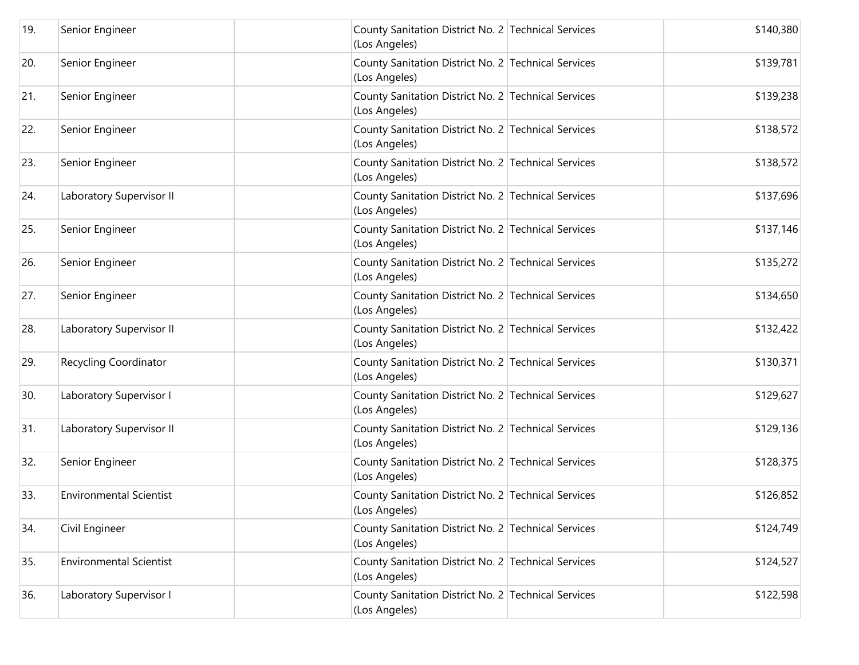| 19. | Senior Engineer                | County Sanitation District No. 2 Technical Services<br>(Los Angeles) | \$140,380 |
|-----|--------------------------------|----------------------------------------------------------------------|-----------|
| 20. | Senior Engineer                | County Sanitation District No. 2 Technical Services<br>(Los Angeles) | \$139,781 |
| 21. | Senior Engineer                | County Sanitation District No. 2 Technical Services<br>(Los Angeles) | \$139,238 |
| 22. | Senior Engineer                | County Sanitation District No. 2 Technical Services<br>(Los Angeles) | \$138,572 |
| 23. | Senior Engineer                | County Sanitation District No. 2 Technical Services<br>(Los Angeles) | \$138,572 |
| 24. | Laboratory Supervisor II       | County Sanitation District No. 2 Technical Services<br>(Los Angeles) | \$137,696 |
| 25. | Senior Engineer                | County Sanitation District No. 2 Technical Services<br>(Los Angeles) | \$137,146 |
| 26. | Senior Engineer                | County Sanitation District No. 2 Technical Services<br>(Los Angeles) | \$135,272 |
| 27. | Senior Engineer                | County Sanitation District No. 2 Technical Services<br>(Los Angeles) | \$134,650 |
| 28. | Laboratory Supervisor II       | County Sanitation District No. 2 Technical Services<br>(Los Angeles) | \$132,422 |
| 29. | Recycling Coordinator          | County Sanitation District No. 2 Technical Services<br>(Los Angeles) | \$130,371 |
| 30. | Laboratory Supervisor I        | County Sanitation District No. 2 Technical Services<br>(Los Angeles) | \$129,627 |
| 31. | Laboratory Supervisor II       | County Sanitation District No. 2 Technical Services<br>(Los Angeles) | \$129,136 |
| 32. | Senior Engineer                | County Sanitation District No. 2 Technical Services<br>(Los Angeles) | \$128,375 |
| 33. | <b>Environmental Scientist</b> | County Sanitation District No. 2 Technical Services<br>(Los Angeles) | \$126,852 |
| 34. | Civil Engineer                 | County Sanitation District No. 2 Technical Services<br>(Los Angeles) | \$124,749 |
| 35. | <b>Environmental Scientist</b> | County Sanitation District No. 2 Technical Services<br>(Los Angeles) | \$124,527 |
| 36. | Laboratory Supervisor I        | County Sanitation District No. 2 Technical Services<br>(Los Angeles) | \$122,598 |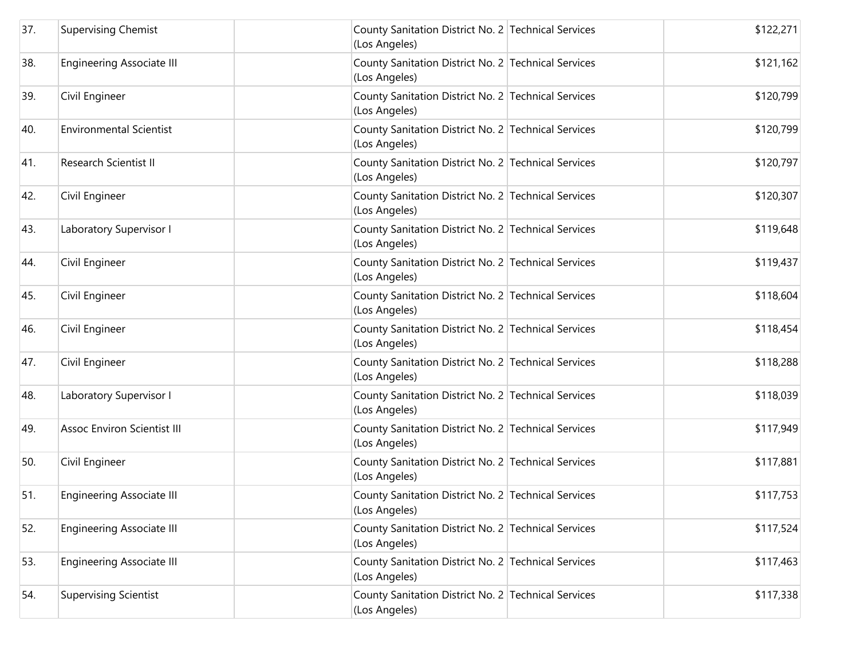| 37. | <b>Supervising Chemist</b>         | County Sanitation District No. 2 Technical Services<br>(Los Angeles) | \$122,271 |
|-----|------------------------------------|----------------------------------------------------------------------|-----------|
| 38. | Engineering Associate III          | County Sanitation District No. 2 Technical Services<br>(Los Angeles) | \$121,162 |
| 39. | Civil Engineer                     | County Sanitation District No. 2 Technical Services<br>(Los Angeles) | \$120,799 |
| 40. | <b>Environmental Scientist</b>     | County Sanitation District No. 2 Technical Services<br>(Los Angeles) | \$120,799 |
| 41. | Research Scientist II              | County Sanitation District No. 2 Technical Services<br>(Los Angeles) | \$120,797 |
| 42. | Civil Engineer                     | County Sanitation District No. 2 Technical Services<br>(Los Angeles) | \$120,307 |
| 43. | Laboratory Supervisor I            | County Sanitation District No. 2 Technical Services<br>(Los Angeles) | \$119,648 |
| 44. | Civil Engineer                     | County Sanitation District No. 2 Technical Services<br>(Los Angeles) | \$119,437 |
| 45. | Civil Engineer                     | County Sanitation District No. 2 Technical Services<br>(Los Angeles) | \$118,604 |
| 46. | Civil Engineer                     | County Sanitation District No. 2 Technical Services<br>(Los Angeles) | \$118,454 |
| 47. | Civil Engineer                     | County Sanitation District No. 2 Technical Services<br>(Los Angeles) | \$118,288 |
| 48. | Laboratory Supervisor I            | County Sanitation District No. 2 Technical Services<br>(Los Angeles) | \$118,039 |
| 49. | <b>Assoc Environ Scientist III</b> | County Sanitation District No. 2 Technical Services<br>(Los Angeles) | \$117,949 |
| 50. | Civil Engineer                     | County Sanitation District No. 2 Technical Services<br>(Los Angeles) | \$117,881 |
| 51. | <b>Engineering Associate III</b>   | County Sanitation District No. 2 Technical Services<br>(Los Angeles) | \$117,753 |
| 52. | Engineering Associate III          | County Sanitation District No. 2 Technical Services<br>(Los Angeles) | \$117,524 |
| 53. | <b>Engineering Associate III</b>   | County Sanitation District No. 2 Technical Services<br>(Los Angeles) | \$117,463 |
| 54. | <b>Supervising Scientist</b>       | County Sanitation District No. 2 Technical Services<br>(Los Angeles) | \$117,338 |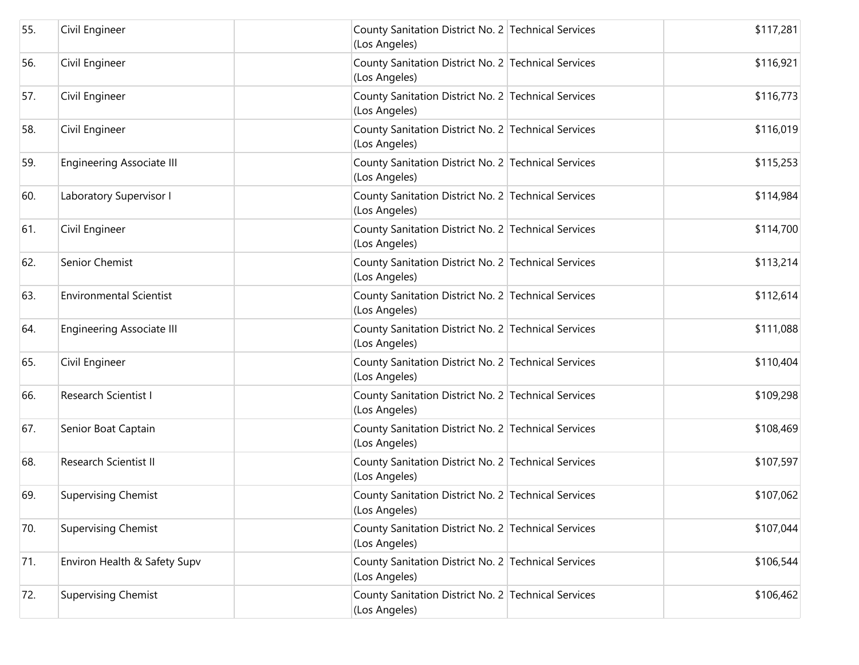| 55. | Civil Engineer                   | County Sanitation District No. 2 Technical Services<br>(Los Angeles) | \$117,281 |
|-----|----------------------------------|----------------------------------------------------------------------|-----------|
| 56. | Civil Engineer                   | County Sanitation District No. 2 Technical Services<br>(Los Angeles) | \$116,921 |
| 57. | Civil Engineer                   | County Sanitation District No. 2 Technical Services<br>(Los Angeles) | \$116,773 |
| 58. | Civil Engineer                   | County Sanitation District No. 2 Technical Services<br>(Los Angeles) | \$116,019 |
| 59. | <b>Engineering Associate III</b> | County Sanitation District No. 2 Technical Services<br>(Los Angeles) | \$115,253 |
| 60. | Laboratory Supervisor I          | County Sanitation District No. 2 Technical Services<br>(Los Angeles) | \$114,984 |
| 61. | Civil Engineer                   | County Sanitation District No. 2 Technical Services<br>(Los Angeles) | \$114,700 |
| 62. | Senior Chemist                   | County Sanitation District No. 2 Technical Services<br>(Los Angeles) | \$113,214 |
| 63. | <b>Environmental Scientist</b>   | County Sanitation District No. 2 Technical Services<br>(Los Angeles) | \$112,614 |
| 64. | <b>Engineering Associate III</b> | County Sanitation District No. 2 Technical Services<br>(Los Angeles) | \$111,088 |
| 65. | Civil Engineer                   | County Sanitation District No. 2 Technical Services<br>(Los Angeles) | \$110,404 |
| 66. | Research Scientist I             | County Sanitation District No. 2 Technical Services<br>(Los Angeles) | \$109,298 |
| 67. | Senior Boat Captain              | County Sanitation District No. 2 Technical Services<br>(Los Angeles) | \$108,469 |
| 68. | Research Scientist II            | County Sanitation District No. 2 Technical Services<br>(Los Angeles) | \$107,597 |
| 69. | <b>Supervising Chemist</b>       | County Sanitation District No. 2 Technical Services<br>(Los Angeles) | \$107,062 |
| 70. | <b>Supervising Chemist</b>       | County Sanitation District No. 2 Technical Services<br>(Los Angeles) | \$107,044 |
| 71. | Environ Health & Safety Supv     | County Sanitation District No. 2 Technical Services<br>(Los Angeles) | \$106,544 |
| 72. | <b>Supervising Chemist</b>       | County Sanitation District No. 2 Technical Services<br>(Los Angeles) | \$106,462 |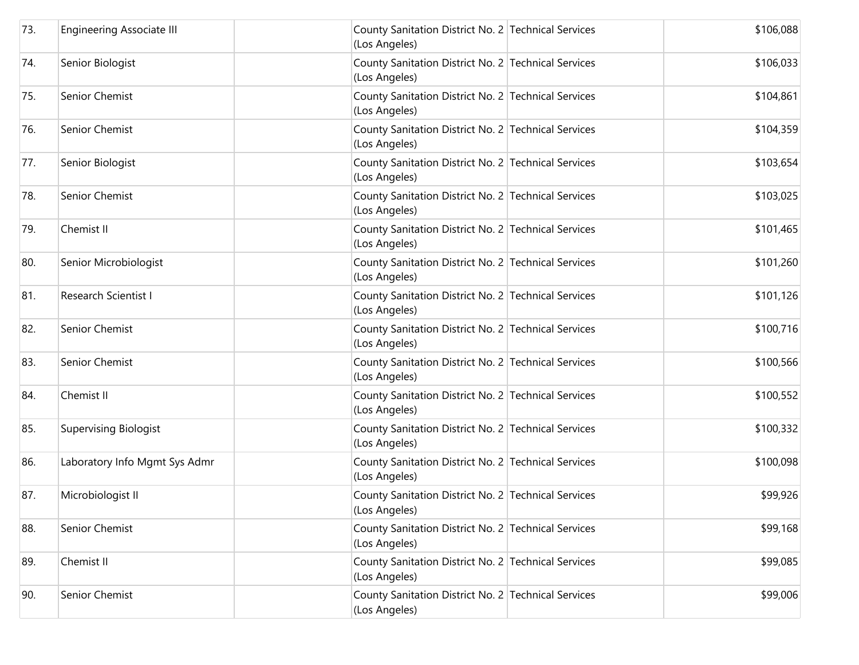| 73. | <b>Engineering Associate III</b> | County Sanitation District No. 2 Technical Services<br>(Los Angeles) | \$106,088 |
|-----|----------------------------------|----------------------------------------------------------------------|-----------|
| 74. | Senior Biologist                 | County Sanitation District No. 2 Technical Services<br>(Los Angeles) | \$106,033 |
| 75. | Senior Chemist                   | County Sanitation District No. 2 Technical Services<br>(Los Angeles) | \$104,861 |
| 76. | Senior Chemist                   | County Sanitation District No. 2 Technical Services<br>(Los Angeles) | \$104,359 |
| 77. | Senior Biologist                 | County Sanitation District No. 2 Technical Services<br>(Los Angeles) | \$103,654 |
| 78. | Senior Chemist                   | County Sanitation District No. 2 Technical Services<br>(Los Angeles) | \$103,025 |
| 79. | Chemist II                       | County Sanitation District No. 2 Technical Services<br>(Los Angeles) | \$101,465 |
| 80. | Senior Microbiologist            | County Sanitation District No. 2 Technical Services<br>(Los Angeles) | \$101,260 |
| 81. | Research Scientist I             | County Sanitation District No. 2 Technical Services<br>(Los Angeles) | \$101,126 |
| 82. | Senior Chemist                   | County Sanitation District No. 2 Technical Services<br>(Los Angeles) | \$100,716 |
| 83. | Senior Chemist                   | County Sanitation District No. 2 Technical Services<br>(Los Angeles) | \$100,566 |
| 84. | Chemist II                       | County Sanitation District No. 2 Technical Services<br>(Los Angeles) | \$100,552 |
| 85. | <b>Supervising Biologist</b>     | County Sanitation District No. 2 Technical Services<br>(Los Angeles) | \$100,332 |
| 86. | Laboratory Info Mgmt Sys Admr    | County Sanitation District No. 2 Technical Services<br>(Los Angeles) | \$100,098 |
| 87. | Microbiologist II                | County Sanitation District No. 2 Technical Services<br>(Los Angeles) | \$99,926  |
| 88. | Senior Chemist                   | County Sanitation District No. 2 Technical Services<br>(Los Angeles) | \$99,168  |
| 89. | Chemist II                       | County Sanitation District No. 2 Technical Services<br>(Los Angeles) | \$99,085  |
| 90. | Senior Chemist                   | County Sanitation District No. 2 Technical Services<br>(Los Angeles) | \$99,006  |